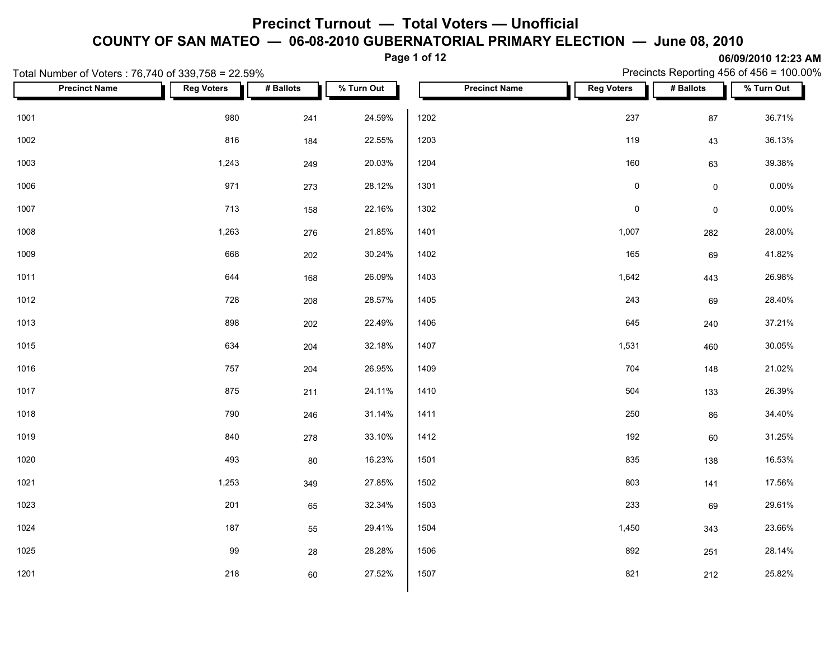**Page 1 of 12**

| Total Number of Voters: 76,740 of 339,758 = 22.59% |                   |           |            |                      |                   |                     | Precincts Reporting 456 of 456 = 100.00% |
|----------------------------------------------------|-------------------|-----------|------------|----------------------|-------------------|---------------------|------------------------------------------|
| <b>Precinct Name</b>                               | <b>Reg Voters</b> | # Ballots | % Turn Out | <b>Precinct Name</b> | <b>Reg Voters</b> | # Ballots           | % Turn Out                               |
| 1001                                               | 980               | 241       | 24.59%     | 1202                 | 237               | 87                  | 36.71%                                   |
| 1002                                               | 816               | 184       | 22.55%     | 1203                 | 119               | 43                  | 36.13%                                   |
| 1003                                               | 1,243             | 249       | 20.03%     | 1204                 | 160               | 63                  | 39.38%                                   |
| 1006                                               | 971               | 273       | 28.12%     | 1301                 | $\mathsf 0$       | $\mathsf{O}\xspace$ | $0.00\%$                                 |
| 1007                                               | 713               | 158       | 22.16%     | 1302                 | $\pmb{0}$         | $\mathsf{O}\xspace$ | $0.00\%$                                 |
| 1008                                               | 1,263             | 276       | 21.85%     | 1401                 | 1,007             | 282                 | 28.00%                                   |
| 1009                                               | 668               | 202       | 30.24%     | 1402                 | 165               | 69                  | 41.82%                                   |
| 1011                                               | 644               | 168       | 26.09%     | 1403                 | 1,642             | 443                 | 26.98%                                   |
| 1012                                               | 728               | 208       | 28.57%     | 1405                 | 243               | 69                  | 28.40%                                   |
| 1013                                               | 898               | 202       | 22.49%     | 1406                 | 645               | 240                 | 37.21%                                   |
| 1015                                               | 634               | 204       | 32.18%     | 1407                 | 1,531             | 460                 | 30.05%                                   |
| 1016                                               | 757               | 204       | 26.95%     | 1409                 | 704               | 148                 | 21.02%                                   |
| 1017                                               | 875               | 211       | 24.11%     | 1410                 | 504               | 133                 | 26.39%                                   |
| 1018                                               | 790               | 246       | 31.14%     | 1411                 | 250               | 86                  | 34.40%                                   |
| 1019                                               | 840               | 278       | 33.10%     | 1412                 | 192               | 60                  | 31.25%                                   |
| 1020                                               | 493               | 80        | 16.23%     | 1501                 | 835               | 138                 | 16.53%                                   |
| 1021                                               | 1,253             | 349       | 27.85%     | 1502                 | 803               | 141                 | 17.56%                                   |
| 1023                                               | 201               | 65        | 32.34%     | 1503                 | 233               | 69                  | 29.61%                                   |
| 1024                                               | 187               | 55        | 29.41%     | 1504                 | 1,450             | 343                 | 23.66%                                   |
| 1025                                               | 99                | 28        | 28.28%     | 1506                 | 892               | 251                 | 28.14%                                   |
| 1201                                               | 218               | 60        | 27.52%     | 1507                 | 821               | 212                 | 25.82%                                   |
|                                                    |                   |           |            |                      |                   |                     |                                          |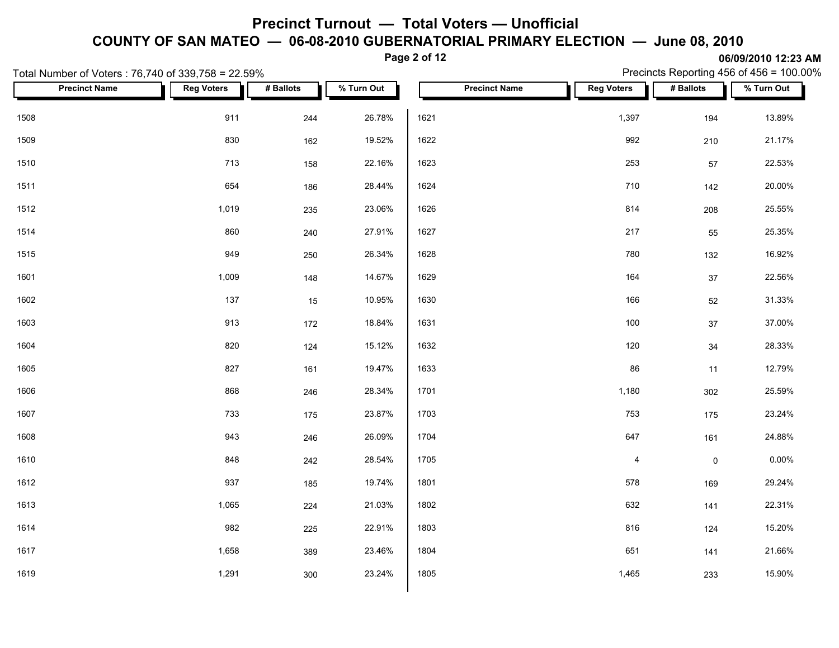**Page 2 of 12**

**06/09/2010 12:23 AM** Precincts Reporting 456 of 456 = 100.00%

|      | Total Number of Voters: 76,740 of 339,758 = 22.59% |                   |           |            |      |                      |                   |                     | Precincts Reporting 456 of 456 = 100.00% |
|------|----------------------------------------------------|-------------------|-----------|------------|------|----------------------|-------------------|---------------------|------------------------------------------|
|      | <b>Precinct Name</b>                               | <b>Reg Voters</b> | # Ballots | % Turn Out |      | <b>Precinct Name</b> | <b>Reg Voters</b> | # Ballots           | % Turn Out                               |
| 1508 |                                                    | 911               | 244       | 26.78%     | 1621 |                      | 1,397             | 194                 | 13.89%                                   |
| 1509 |                                                    | 830               | 162       | 19.52%     | 1622 |                      | 992               | 210                 | 21.17%                                   |
| 1510 |                                                    | 713               | 158       | 22.16%     | 1623 |                      | 253               | 57                  | 22.53%                                   |
| 1511 |                                                    | 654               | 186       | 28.44%     | 1624 |                      | 710               | 142                 | 20.00%                                   |
| 1512 |                                                    | 1,019             | 235       | 23.06%     | 1626 |                      | 814               | 208                 | 25.55%                                   |
| 1514 |                                                    | 860               | 240       | 27.91%     | 1627 |                      | 217               | 55                  | 25.35%                                   |
| 1515 |                                                    | 949               | 250       | 26.34%     | 1628 |                      | 780               | 132                 | 16.92%                                   |
| 1601 |                                                    | 1,009             | 148       | 14.67%     | 1629 |                      | 164               | 37                  | 22.56%                                   |
| 1602 |                                                    | 137               | 15        | 10.95%     | 1630 |                      | 166               | 52                  | 31.33%                                   |
| 1603 |                                                    | 913               | 172       | 18.84%     | 1631 |                      | 100               | $37\,$              | 37.00%                                   |
| 1604 |                                                    | 820               | 124       | 15.12%     | 1632 |                      | 120               | $34\,$              | 28.33%                                   |
| 1605 |                                                    | 827               | 161       | 19.47%     | 1633 |                      | 86                | 11                  | 12.79%                                   |
| 1606 |                                                    | 868               | 246       | 28.34%     | 1701 |                      | 1,180             | 302                 | 25.59%                                   |
| 1607 |                                                    | 733               | 175       | 23.87%     | 1703 |                      | 753               | 175                 | 23.24%                                   |
| 1608 |                                                    | 943               | 246       | 26.09%     | 1704 |                      | 647               | 161                 | 24.88%                                   |
| 1610 |                                                    | 848               | 242       | 28.54%     | 1705 |                      | $\overline{4}$    | $\mathsf{O}\xspace$ | 0.00%                                    |
| 1612 |                                                    | 937               | 185       | 19.74%     | 1801 |                      | 578               | 169                 | 29.24%                                   |
| 1613 |                                                    | 1,065             | 224       | 21.03%     | 1802 |                      | 632               | 141                 | 22.31%                                   |
| 1614 |                                                    | 982               | 225       | 22.91%     | 1803 |                      | 816               | 124                 | 15.20%                                   |
| 1617 |                                                    | 1,658             | 389       | 23.46%     | 1804 |                      | 651               | 141                 | 21.66%                                   |
| 1619 |                                                    | 1,291             | 300       | 23.24%     | 1805 |                      | 1,465             | 233                 | 15.90%                                   |
|      |                                                    |                   |           |            |      |                      |                   |                     |                                          |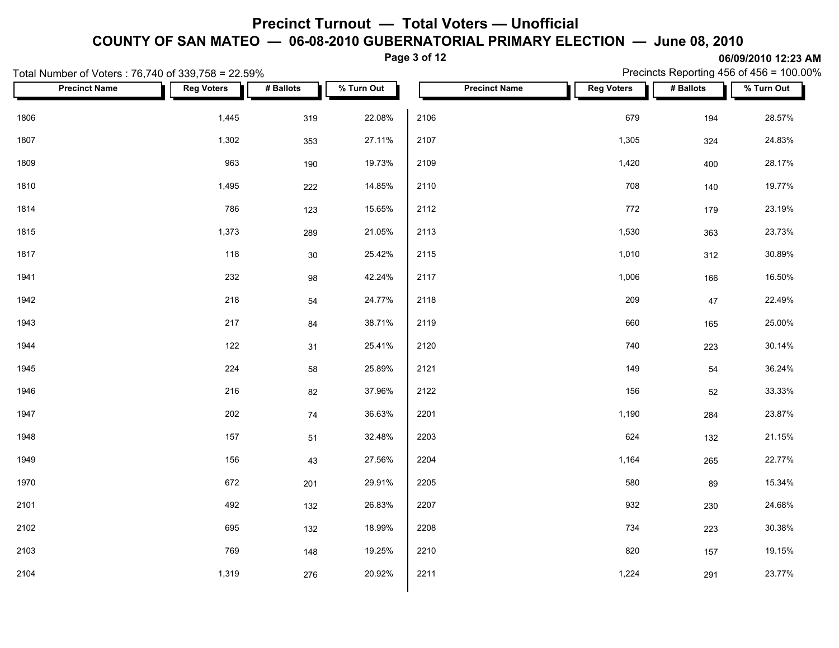**Page 3 of 12**

|      | Total Number of Voters: 76,740 of 339,758 = 22.59% |                   |           |            | $  -$ |                      |                   |           | Precincts Reporting 456 of 456 = 100.00% |
|------|----------------------------------------------------|-------------------|-----------|------------|-------|----------------------|-------------------|-----------|------------------------------------------|
|      | <b>Precinct Name</b>                               | <b>Reg Voters</b> | # Ballots | % Turn Out |       | <b>Precinct Name</b> | <b>Reg Voters</b> | # Ballots | % Turn Out                               |
| 1806 |                                                    | 1,445             | 319       | 22.08%     | 2106  |                      | 679               | 194       | 28.57%                                   |
| 1807 |                                                    | 1,302             | 353       | 27.11%     | 2107  |                      | 1,305             | 324       | 24.83%                                   |
| 1809 |                                                    | 963               | 190       | 19.73%     | 2109  |                      | 1,420             | 400       | 28.17%                                   |
| 1810 |                                                    | 1,495             | 222       | 14.85%     | 2110  |                      | 708               | 140       | 19.77%                                   |
| 1814 |                                                    | 786               | 123       | 15.65%     | 2112  |                      | 772               | 179       | 23.19%                                   |
| 1815 |                                                    | 1,373             | 289       | 21.05%     | 2113  |                      | 1,530             | 363       | 23.73%                                   |
| 1817 |                                                    | 118               | $30\,$    | 25.42%     | 2115  |                      | 1,010             | 312       | 30.89%                                   |
| 1941 |                                                    | 232               | 98        | 42.24%     | 2117  |                      | 1,006             | 166       | 16.50%                                   |
| 1942 |                                                    | 218               | 54        | 24.77%     | 2118  |                      | 209               | 47        | 22.49%                                   |
| 1943 |                                                    | 217               | 84        | 38.71%     | 2119  |                      | 660               | 165       | 25.00%                                   |
| 1944 |                                                    | 122               | 31        | 25.41%     | 2120  |                      | 740               | 223       | 30.14%                                   |
| 1945 |                                                    | 224               | 58        | 25.89%     | 2121  |                      | 149               | 54        | 36.24%                                   |
| 1946 |                                                    | 216               | 82        | 37.96%     | 2122  |                      | 156               | 52        | 33.33%                                   |
| 1947 |                                                    | 202               | 74        | 36.63%     | 2201  |                      | 1,190             | 284       | 23.87%                                   |
| 1948 |                                                    | 157               | 51        | 32.48%     | 2203  |                      | 624               | 132       | 21.15%                                   |
| 1949 |                                                    | 156               | 43        | 27.56%     | 2204  |                      | 1,164             | 265       | 22.77%                                   |
| 1970 |                                                    | 672               | 201       | 29.91%     | 2205  |                      | 580               | 89        | 15.34%                                   |
| 2101 |                                                    | 492               | 132       | 26.83%     | 2207  |                      | 932               | 230       | 24.68%                                   |
| 2102 |                                                    | 695               | 132       | 18.99%     | 2208  |                      | 734               | 223       | 30.38%                                   |
| 2103 |                                                    | 769               | 148       | 19.25%     | 2210  |                      | 820               | 157       | 19.15%                                   |
| 2104 |                                                    | 1,319             | 276       | 20.92%     | 2211  |                      | 1,224             | 291       | 23.77%                                   |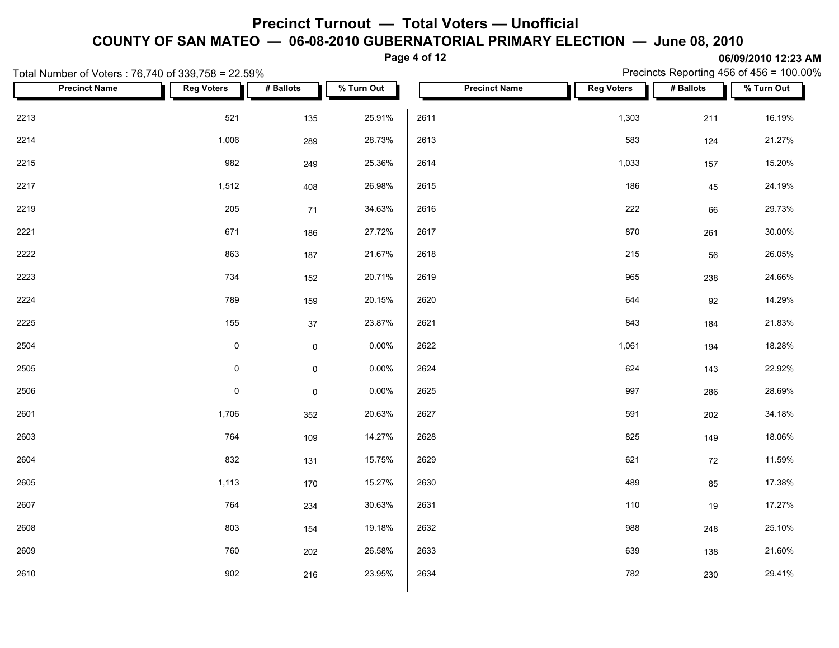**Page 4 of 12**

|      | Total Number of Voters: 76,740 of 339,758 = 22.59% |                     |                     |            |      |                      |                   |           | Precincts Reporting 456 of 456 = 100.00% |  |
|------|----------------------------------------------------|---------------------|---------------------|------------|------|----------------------|-------------------|-----------|------------------------------------------|--|
|      | <b>Precinct Name</b>                               | <b>Reg Voters</b>   | # Ballots           | % Turn Out |      | <b>Precinct Name</b> | <b>Reg Voters</b> | # Ballots | $\sqrt{\frac{2}{1}}$ Turn Out            |  |
| 2213 |                                                    | 521                 | 135                 | 25.91%     | 2611 |                      | 1,303             | 211       | 16.19%                                   |  |
| 2214 |                                                    | 1,006               | 289                 | 28.73%     | 2613 |                      | 583               | 124       | 21.27%                                   |  |
| 2215 |                                                    | 982                 | 249                 | 25.36%     | 2614 |                      | 1,033             | 157       | 15.20%                                   |  |
| 2217 |                                                    | 1,512               | 408                 | 26.98%     | 2615 |                      | 186               | 45        | 24.19%                                   |  |
| 2219 |                                                    | 205                 | 71                  | 34.63%     | 2616 |                      | 222               | 66        | 29.73%                                   |  |
| 2221 |                                                    | 671                 | 186                 | 27.72%     | 2617 |                      | 870               | 261       | 30.00%                                   |  |
| 2222 |                                                    | 863                 | 187                 | 21.67%     | 2618 |                      | 215               | 56        | 26.05%                                   |  |
| 2223 |                                                    | 734                 | 152                 | 20.71%     | 2619 |                      | 965               | 238       | 24.66%                                   |  |
| 2224 |                                                    | 789                 | 159                 | 20.15%     | 2620 |                      | 644               | 92        | 14.29%                                   |  |
| 2225 |                                                    | 155                 | $37\,$              | 23.87%     | 2621 |                      | 843               | 184       | 21.83%                                   |  |
| 2504 |                                                    | $\mathsf{O}\xspace$ | $\mathsf 0$         | $0.00\%$   | 2622 |                      | 1,061             | 194       | 18.28%                                   |  |
| 2505 |                                                    | $\mathsf{O}\xspace$ | $\mathsf 0$         | $0.00\%$   | 2624 |                      | 624               | 143       | 22.92%                                   |  |
| 2506 |                                                    | $\mathsf{O}\xspace$ | $\mathsf{O}\xspace$ | $0.00\%$   | 2625 |                      | 997               | 286       | 28.69%                                   |  |
| 2601 |                                                    | 1,706               | 352                 | 20.63%     | 2627 |                      | 591               | 202       | 34.18%                                   |  |
| 2603 |                                                    | 764                 | 109                 | 14.27%     | 2628 |                      | 825               | 149       | 18.06%                                   |  |
| 2604 |                                                    | 832                 | 131                 | 15.75%     | 2629 |                      | 621               | 72        | 11.59%                                   |  |
| 2605 |                                                    | 1,113               | 170                 | 15.27%     | 2630 |                      | 489               | 85        | 17.38%                                   |  |
| 2607 |                                                    | 764                 | 234                 | 30.63%     | 2631 |                      | 110               | 19        | 17.27%                                   |  |
| 2608 |                                                    | 803                 | 154                 | 19.18%     | 2632 |                      | 988               | 248       | 25.10%                                   |  |
| 2609 |                                                    | 760                 | 202                 | 26.58%     | 2633 |                      | 639               | 138       | 21.60%                                   |  |
| 2610 |                                                    | 902                 | 216                 | 23.95%     | 2634 |                      | 782               | 230       | 29.41%                                   |  |
|      |                                                    |                     |                     |            |      |                      |                   |           |                                          |  |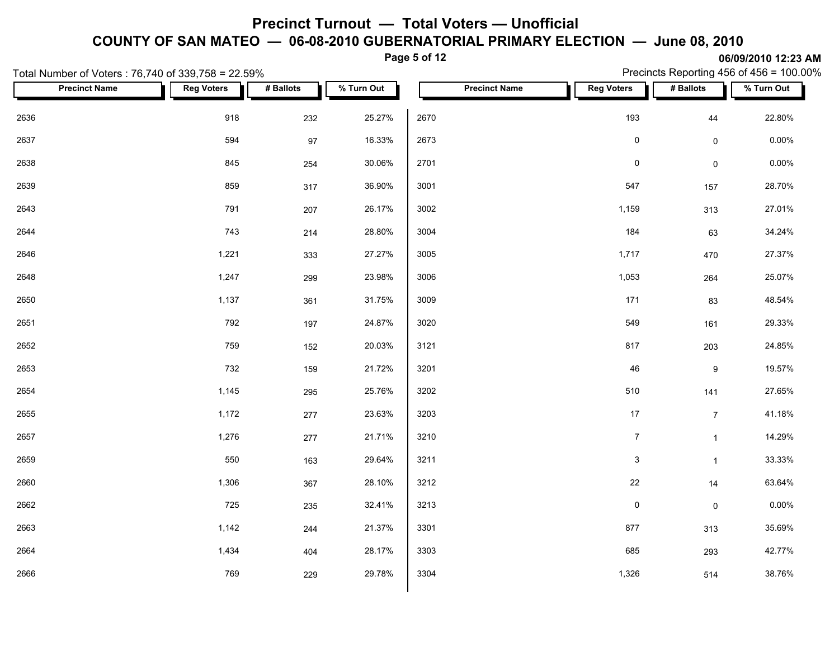**Page 5 of 12**

| Total Number of Voters: 76,740 of 339,758 = 22.59% |                   |           |            |                      |                           |                     | Precincts Reporting 456 of 456 = 100.00% |
|----------------------------------------------------|-------------------|-----------|------------|----------------------|---------------------------|---------------------|------------------------------------------|
| <b>Precinct Name</b>                               | <b>Reg Voters</b> | # Ballots | % Turn Out | <b>Precinct Name</b> | <b>Reg Voters</b>         | # Ballots           | % Turn Out                               |
| 2636                                               | 918               | 232       | 25.27%     | 2670                 | 193                       | 44                  | 22.80%                                   |
| 2637                                               | 594               | $97\,$    | 16.33%     | 2673                 | $\pmb{0}$                 | $\mathsf{O}\xspace$ | $0.00\%$                                 |
| 2638                                               | 845               | 254       | 30.06%     | 2701                 | $\pmb{0}$                 | $\mathsf{O}\xspace$ | 0.00%                                    |
| 2639                                               | 859               | 317       | 36.90%     | 3001                 | 547                       | 157                 | 28.70%                                   |
| 2643                                               | 791               | 207       | 26.17%     | 3002                 | 1,159                     | 313                 | 27.01%                                   |
| 2644                                               | 743               | 214       | 28.80%     | 3004                 | 184                       | 63                  | 34.24%                                   |
| 2646                                               | 1,221             | 333       | 27.27%     | 3005                 | 1,717                     | 470                 | 27.37%                                   |
| 2648                                               | 1,247             | 299       | 23.98%     | 3006                 | 1,053                     | 264                 | 25.07%                                   |
| 2650                                               | 1,137             | 361       | 31.75%     | 3009                 | 171                       | 83                  | 48.54%                                   |
| 2651                                               | 792               | 197       | 24.87%     | 3020                 | 549                       | 161                 | 29.33%                                   |
| 2652                                               | 759               | 152       | 20.03%     | 3121                 | 817                       | 203                 | 24.85%                                   |
| 2653                                               | 732               | 159       | 21.72%     | 3201                 | 46                        | $9\,$               | 19.57%                                   |
| 2654                                               | 1,145             | 295       | 25.76%     | 3202                 | 510                       | 141                 | 27.65%                                   |
| 2655                                               | 1,172             | 277       | 23.63%     | 3203                 | 17                        | 7 <sup>7</sup>      | 41.18%                                   |
| 2657                                               | 1,276             | 277       | 21.71%     | 3210                 | $\overline{7}$            | $\mathbf{1}$        | 14.29%                                   |
| 2659                                               | 550               | 163       | 29.64%     | 3211                 | $\ensuremath{\mathsf{3}}$ | $\mathbf{1}$        | 33.33%                                   |
| 2660                                               | 1,306             | 367       | 28.10%     | 3212                 | $22\,$                    | 14                  | 63.64%                                   |
| 2662                                               | 725               | 235       | 32.41%     | 3213                 | $\pmb{0}$                 | $\mathsf{O}\xspace$ | 0.00%                                    |
| 2663                                               | 1,142             | 244       | 21.37%     | 3301                 | 877                       | 313                 | 35.69%                                   |
| 2664                                               | 1,434             | 404       | 28.17%     | 3303                 | 685                       | 293                 | 42.77%                                   |
| 2666                                               | 769               | 229       | 29.78%     | 3304                 | 1,326                     | 514                 | 38.76%                                   |
|                                                    |                   |           |            |                      |                           |                     |                                          |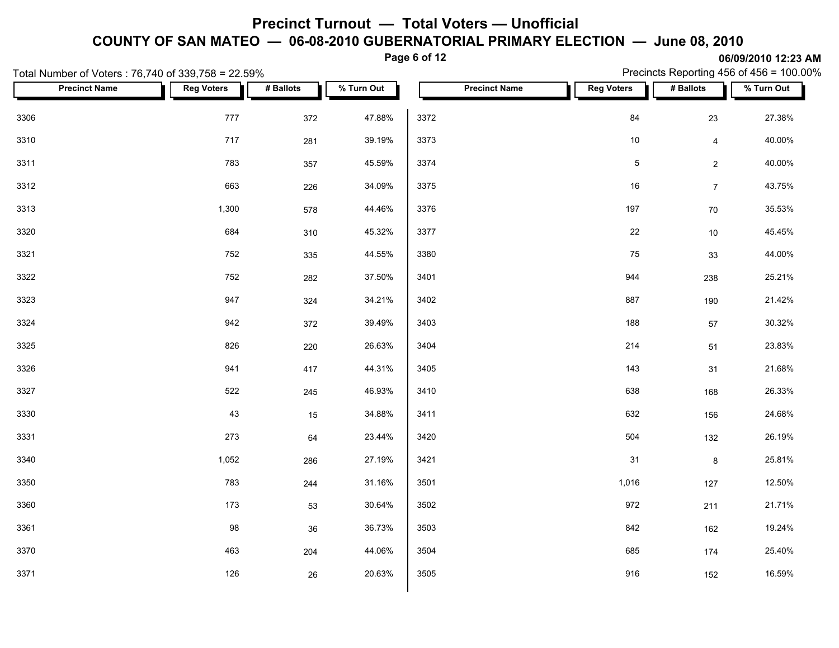**Page 6 of 12**

| Total Number of Voters: 76,740 of 339,758 = 22.59% |                   |           |            |                      |                   |                | Precincts Reporting 456 of 456 = 100.00% |
|----------------------------------------------------|-------------------|-----------|------------|----------------------|-------------------|----------------|------------------------------------------|
| <b>Precinct Name</b>                               | <b>Reg Voters</b> | # Ballots | % Turn Out | <b>Precinct Name</b> | <b>Reg Voters</b> | # Ballots      | % Turn Out                               |
| 3306                                               | 777               | 372       | 47.88%     | 3372                 | 84                | 23             | 27.38%                                   |
| 3310                                               | 717               | 281       | 39.19%     | 3373                 | 10                | $\overline{4}$ | 40.00%                                   |
| 3311                                               | 783               | 357       | 45.59%     | 3374                 | $\mathbf 5$       | $\overline{2}$ | 40.00%                                   |
| 3312                                               | 663               | 226       | 34.09%     | 3375                 | 16                | $\overline{7}$ | 43.75%                                   |
| 3313                                               | 1,300             | 578       | 44.46%     | 3376                 | 197               | 70             | 35.53%                                   |
| 3320                                               | 684               | 310       | 45.32%     | 3377                 | 22                | $10\,$         | 45.45%                                   |
| 3321                                               | 752               | 335       | 44.55%     | 3380                 | 75                | 33             | 44.00%                                   |
| 3322                                               | 752               | 282       | 37.50%     | 3401                 | 944               | 238            | 25.21%                                   |
| 3323                                               | 947               | 324       | 34.21%     | 3402                 | 887               | 190            | 21.42%                                   |
| 3324                                               | 942               | 372       | 39.49%     | 3403                 | 188               | $57\,$         | 30.32%                                   |
| 3325                                               | 826               | 220       | 26.63%     | 3404                 | 214               | 51             | 23.83%                                   |
| 3326                                               | 941               | 417       | 44.31%     | 3405                 | 143               | 31             | 21.68%                                   |
| 3327                                               | 522               | 245       | 46.93%     | 3410                 | 638               | 168            | 26.33%                                   |
| 3330                                               | 43                | 15        | 34.88%     | 3411                 | 632               | 156            | 24.68%                                   |
| 3331                                               | 273               | 64        | 23.44%     | 3420                 | 504               | 132            | 26.19%                                   |
| 3340                                               | 1,052             | 286       | 27.19%     | 3421                 | 31                | $\bf{8}$       | 25.81%                                   |
| 3350                                               | 783               | 244       | 31.16%     | 3501                 | 1,016             | 127            | 12.50%                                   |
| 3360                                               | 173               | 53        | 30.64%     | 3502                 | 972               | 211            | 21.71%                                   |
| 3361                                               | 98                | 36        | 36.73%     | 3503                 | 842               | 162            | 19.24%                                   |
| 3370                                               | 463               | 204       | 44.06%     | 3504                 | 685               | 174            | 25.40%                                   |
| 3371                                               | 126               | 26        | 20.63%     | 3505                 | 916               | 152            | 16.59%                                   |
|                                                    |                   |           |            |                      |                   |                |                                          |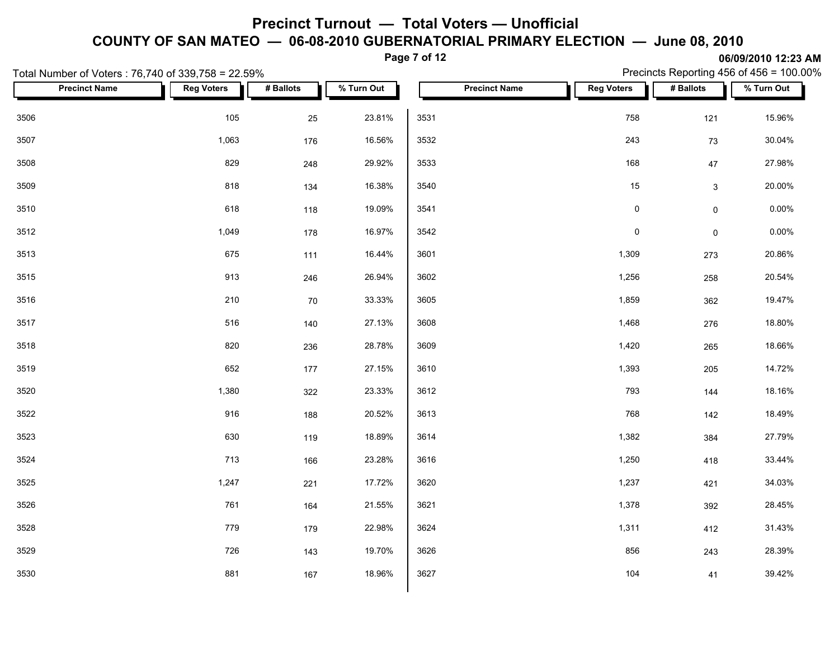**Page 7 of 12**

| Total Number of Voters: 76,740 of 339,758 = 22.59% |                   |       |           |            |      |                      |                     |           |                     | Precincts Reporting 456 of 456 = 100.00% |  |
|----------------------------------------------------|-------------------|-------|-----------|------------|------|----------------------|---------------------|-----------|---------------------|------------------------------------------|--|
| <b>Precinct Name</b>                               | <b>Reg Voters</b> |       | # Ballots | % Turn Out |      | <b>Precinct Name</b> | <b>Reg Voters</b>   | # Ballots |                     | % Turn Out                               |  |
| 3506                                               |                   | 105   | 25        | 23.81%     | 3531 |                      | 758                 |           | 121                 | 15.96%                                   |  |
| 3507                                               |                   | 1,063 | 176       | 16.56%     | 3532 |                      | 243                 |           | 73                  | 30.04%                                   |  |
| 3508                                               |                   | 829   | 248       | 29.92%     | 3533 |                      | 168                 |           | $47\,$              | 27.98%                                   |  |
| 3509                                               |                   | 818   | 134       | 16.38%     | 3540 |                      | 15                  |           | $\mathbf{3}$        | 20.00%                                   |  |
| 3510                                               |                   | 618   | 118       | 19.09%     | 3541 |                      | $\mathsf{O}\xspace$ |           | $\mathsf{O}\xspace$ | $0.00\%$                                 |  |
| 3512                                               |                   | 1,049 | 178       | 16.97%     | 3542 |                      | $\mathsf{O}\xspace$ |           | $\mathbf 0$         | $0.00\%$                                 |  |
| 3513                                               |                   | 675   | 111       | 16.44%     | 3601 |                      | 1,309               |           | 273                 | 20.86%                                   |  |
| 3515                                               |                   | 913   | 246       | 26.94%     | 3602 |                      | 1,256               |           | 258                 | 20.54%                                   |  |
| 3516                                               |                   | 210   | 70        | 33.33%     | 3605 |                      | 1,859               |           | 362                 | 19.47%                                   |  |
| 3517                                               |                   | 516   | 140       | 27.13%     | 3608 |                      | 1,468               |           | 276                 | 18.80%                                   |  |
| 3518                                               |                   | 820   | 236       | 28.78%     | 3609 |                      | 1,420               |           | 265                 | 18.66%                                   |  |
| 3519                                               |                   | 652   | 177       | 27.15%     | 3610 |                      | 1,393               |           | 205                 | 14.72%                                   |  |
| 3520                                               |                   | 1,380 | 322       | 23.33%     | 3612 |                      | 793                 |           | 144                 | 18.16%                                   |  |
| 3522                                               |                   | 916   | 188       | 20.52%     | 3613 |                      | 768                 |           | 142                 | 18.49%                                   |  |
| 3523                                               |                   | 630   | 119       | 18.89%     | 3614 |                      | 1,382               |           | 384                 | 27.79%                                   |  |
| 3524                                               |                   | 713   | 166       | 23.28%     | 3616 |                      | 1,250               |           | 418                 | 33.44%                                   |  |
| 3525                                               |                   | 1,247 | 221       | 17.72%     | 3620 |                      | 1,237               |           | 421                 | 34.03%                                   |  |
| 3526                                               |                   | 761   | 164       | 21.55%     | 3621 |                      | 1,378               |           | 392                 | 28.45%                                   |  |
| 3528                                               |                   | 779   | 179       | 22.98%     | 3624 |                      | 1,311               |           | 412                 | 31.43%                                   |  |
| 3529                                               |                   | 726   | 143       | 19.70%     | 3626 |                      | 856                 |           | 243                 | 28.39%                                   |  |
| 3530                                               |                   | 881   | 167       | 18.96%     | 3627 |                      | 104                 |           | 41                  | 39.42%                                   |  |
|                                                    |                   |       |           |            |      |                      |                     |           |                     |                                          |  |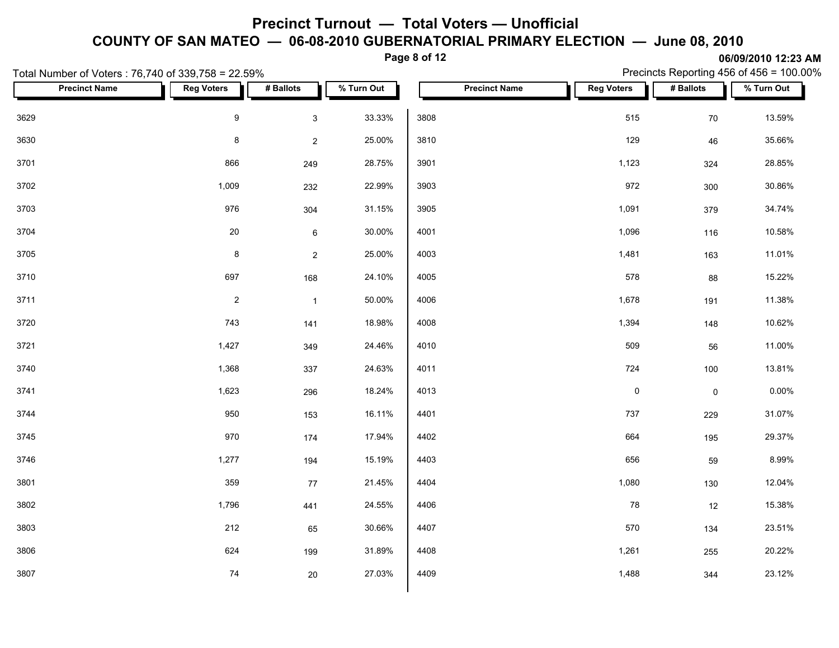**Page 8 of 12**

**06/09/2010 12:23 AM** Precincts Reporting 456 of 456 = 100.00%

| Total Number of Voters: 76,740 of 339,758 = 22.59% |                   |                |            |                      |                     |             | Precincts Reporting 456 of 456 = 100.00% |
|----------------------------------------------------|-------------------|----------------|------------|----------------------|---------------------|-------------|------------------------------------------|
| <b>Precinct Name</b>                               | <b>Reg Voters</b> | # Ballots      | % Turn Out | <b>Precinct Name</b> | <b>Reg Voters</b>   | # Ballots   | % Turn Out                               |
| 3629                                               | $\boldsymbol{9}$  | $\mathbf{3}$   | 33.33%     | 3808                 | 515                 | 70          | 13.59%                                   |
| 3630                                               | $\bf 8$           | $\overline{2}$ | 25.00%     | 3810                 | 129                 | 46          | 35.66%                                   |
| 3701                                               | 866               | 249            | 28.75%     | 3901                 | 1,123               | 324         | 28.85%                                   |
| 3702                                               | 1,009             | 232            | 22.99%     | 3903                 | 972                 | 300         | 30.86%                                   |
| 3703                                               | 976               | 304            | 31.15%     | 3905                 | 1,091               | 379         | 34.74%                                   |
| 3704                                               | $20\,$            | $\bf 6$        | 30.00%     | 4001                 | 1,096               | 116         | 10.58%                                   |
| 3705                                               | $\bf 8$           | $\overline{2}$ | 25.00%     | 4003                 | 1,481               | 163         | 11.01%                                   |
| 3710                                               | 697               | 168            | 24.10%     | 4005                 | 578                 | 88          | 15.22%                                   |
| 3711                                               | $\sqrt{2}$        | $\overline{1}$ | 50.00%     | 4006                 | 1,678               | 191         | 11.38%                                   |
| 3720                                               | 743               | 141            | 18.98%     | 4008                 | 1,394               | 148         | 10.62%                                   |
| 3721                                               | 1,427             | 349            | 24.46%     | 4010                 | 509                 | 56          | 11.00%                                   |
| 3740                                               | 1,368             | 337            | 24.63%     | 4011                 | 724                 | 100         | 13.81%                                   |
| 3741                                               | 1,623             | 296            | 18.24%     | 4013                 | $\mathsf{O}\xspace$ | $\mathsf 0$ | $0.00\%$                                 |
| 3744                                               | 950               | 153            | 16.11%     | 4401                 | 737                 | 229         | 31.07%                                   |
| 3745                                               | 970               | 174            | 17.94%     | 4402                 | 664                 | 195         | 29.37%                                   |
| 3746                                               | 1,277             | 194            | 15.19%     | 4403                 | 656                 | 59          | 8.99%                                    |
| 3801                                               | 359               | 77             | 21.45%     | 4404                 | 1,080               | 130         | 12.04%                                   |
| 3802                                               | 1,796             | 441            | 24.55%     | 4406                 | 78                  | 12          | 15.38%                                   |
| 3803                                               | 212               | 65             | 30.66%     | 4407                 | 570                 | 134         | 23.51%                                   |
| 3806                                               | 624               | 199            | 31.89%     | 4408                 | 1,261               | 255         | 20.22%                                   |
| 3807                                               | 74                | 20             | 27.03%     | 4409                 | 1,488               | 344         | 23.12%                                   |
|                                                    |                   |                |            |                      |                     |             |                                          |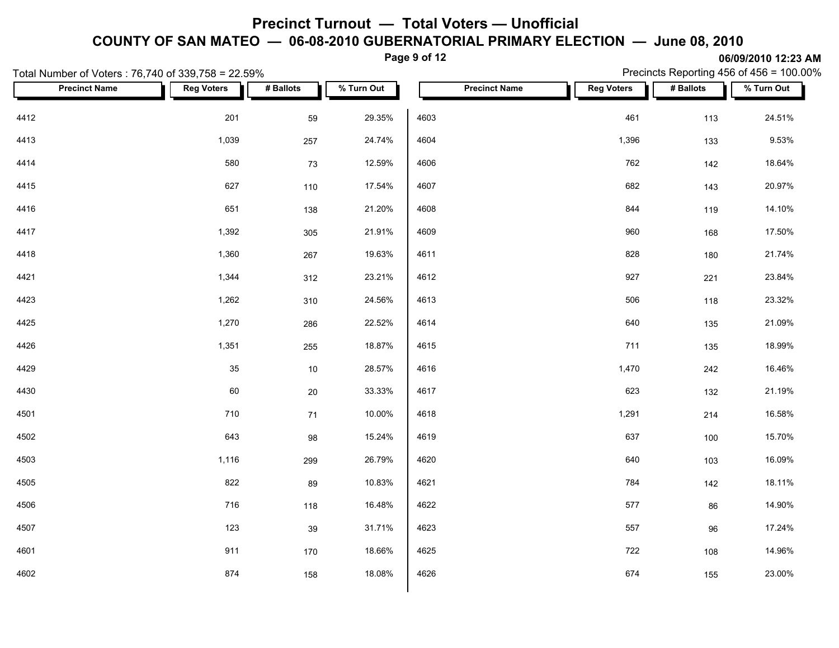**Page 9 of 12**

**06/09/2010 12:23 AM** Precincts Reporting 456 of 456 = 100.00%

| Total Number of Voters: 76,740 of 339,758 = 22.59% |                   |           |            |                      |                   |           | Precincts Reporting 456 of 456 = 100.00% |
|----------------------------------------------------|-------------------|-----------|------------|----------------------|-------------------|-----------|------------------------------------------|
| <b>Precinct Name</b>                               | <b>Reg Voters</b> | # Ballots | % Turn Out | <b>Precinct Name</b> | <b>Reg Voters</b> | # Ballots | % Turn Out                               |
| 4412                                               | 201               | 59        | 29.35%     | 4603                 | 461               | 113       | 24.51%                                   |
| 4413                                               | 1,039             | 257       | 24.74%     | 4604                 | 1,396             | 133       | 9.53%                                    |
| 4414                                               | 580               | 73        | 12.59%     | 4606                 | 762               | 142       | 18.64%                                   |
| 4415                                               | 627               | 110       | 17.54%     | 4607                 | 682               | 143       | 20.97%                                   |
| 4416                                               | 651               | 138       | 21.20%     | 4608                 | 844               | 119       | 14.10%                                   |
| 4417                                               | 1,392             | 305       | 21.91%     | 4609                 | 960               | 168       | 17.50%                                   |
| 4418                                               | 1,360             | 267       | 19.63%     | 4611                 | 828               | 180       | 21.74%                                   |
| 4421                                               | 1,344             | 312       | 23.21%     | 4612                 | 927               | 221       | 23.84%                                   |
| 4423                                               | 1,262             | 310       | 24.56%     | 4613                 | 506               | 118       | 23.32%                                   |
| 4425                                               | 1,270             | 286       | 22.52%     | 4614                 | 640               | 135       | 21.09%                                   |
| 4426                                               | 1,351             | 255       | 18.87%     | 4615                 | 711               | 135       | 18.99%                                   |
| 4429                                               | 35                | 10        | 28.57%     | 4616                 | 1,470             | 242       | 16.46%                                   |
| 4430                                               | 60                | $20\,$    | 33.33%     | 4617                 | 623               | 132       | 21.19%                                   |
| 4501                                               | 710               | 71        | 10.00%     | 4618                 | 1,291             | 214       | 16.58%                                   |
| 4502                                               | 643               | 98        | 15.24%     | 4619                 | 637               | 100       | 15.70%                                   |
| 4503                                               | 1,116             | 299       | 26.79%     | 4620                 | 640               | 103       | 16.09%                                   |
| 4505                                               | 822               | 89        | 10.83%     | 4621                 | 784               | 142       | 18.11%                                   |
| 4506                                               | 716               | 118       | 16.48%     | 4622                 | 577               | 86        | 14.90%                                   |
| 4507                                               | 123               | 39        | 31.71%     | 4623                 | 557               | 96        | 17.24%                                   |
| 4601                                               | 911               | 170       | 18.66%     | 4625                 | 722               | 108       | 14.96%                                   |
| 4602                                               | 874               | 158       | 18.08%     | 4626                 | 674               | 155       | 23.00%                                   |
|                                                    |                   |           |            |                      |                   |           |                                          |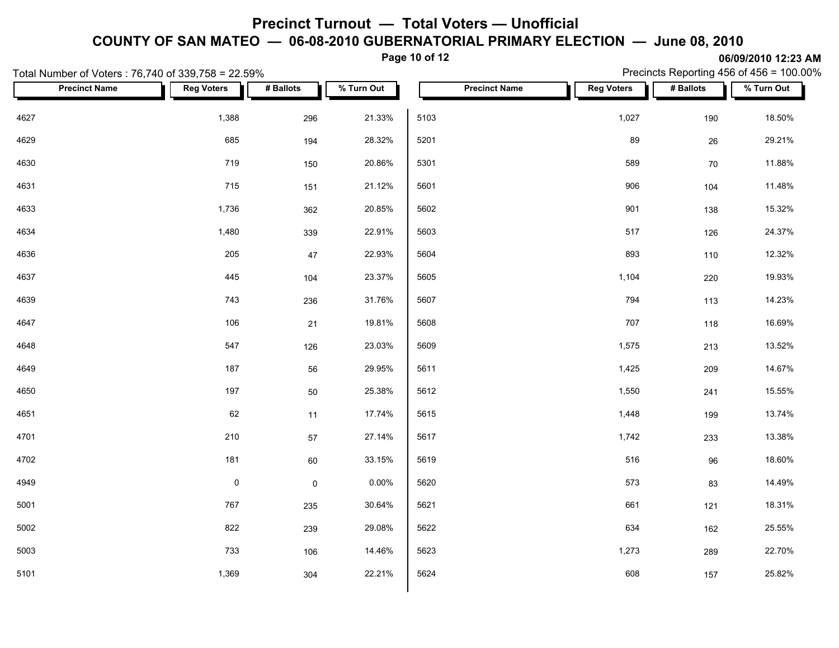**Page 10 of 12**

| Total Number of Voters: 76,740 of 339,758 = 22.59% |                   |                     |            |                      |                   |           | Precincts Reporting 456 of 456 = 100.00% |
|----------------------------------------------------|-------------------|---------------------|------------|----------------------|-------------------|-----------|------------------------------------------|
| <b>Precinct Name</b>                               | <b>Reg Voters</b> | # Ballots           | % Turn Out | <b>Precinct Name</b> | <b>Reg Voters</b> | # Ballots | % Turn Out                               |
| 4627                                               | 1,388             | 296                 | 21.33%     | 5103                 | 1,027             | 190       | 18.50%                                   |
| 4629                                               | 685               | 194                 | 28.32%     | 5201                 | 89                | 26        | 29.21%                                   |
| 4630                                               | 719               | 150                 | 20.86%     | 5301                 | 589               | 70        | 11.88%                                   |
| 4631                                               | 715               | 151                 | 21.12%     | 5601                 | 906               | 104       | 11.48%                                   |
| 4633                                               | 1,736             | 362                 | 20.85%     | 5602                 | 901               | 138       | 15.32%                                   |
| 4634                                               | 1,480             | 339                 | 22.91%     | 5603                 | 517               | 126       | 24.37%                                   |
| 4636                                               | 205               | 47                  | 22.93%     | 5604                 | 893               | 110       | 12.32%                                   |
| 4637                                               | 445               | 104                 | 23.37%     | 5605                 | 1,104             | 220       | 19.93%                                   |
| 4639                                               | 743               | 236                 | 31.76%     | 5607                 | 794               | 113       | 14.23%                                   |
| 4647                                               | 106               | 21                  | 19.81%     | 5608                 | 707               | 118       | 16.69%                                   |
| 4648                                               | 547               | 126                 | 23.03%     | 5609                 | 1,575             | 213       | 13.52%                                   |
| 4649                                               | 187               | 56                  | 29.95%     | 5611                 | 1,425             | 209       | 14.67%                                   |
| 4650                                               | 197               | 50                  | 25.38%     | 5612                 | 1,550             | 241       | 15.55%                                   |
| 4651                                               | 62                | 11                  | 17.74%     | 5615                 | 1,448             | 199       | 13.74%                                   |
| 4701                                               | 210               | 57                  | 27.14%     | 5617                 | 1,742             | 233       | 13.38%                                   |
| 4702                                               | 181               | 60                  | 33.15%     | 5619                 | 516               | 96        | 18.60%                                   |
| 4949                                               | $\pmb{0}$         | $\mathsf{O}\xspace$ | 0.00%      | 5620                 | 573               | 83        | 14.49%                                   |
| 5001                                               | 767               | 235                 | 30.64%     | 5621                 | 661               | 121       | 18.31%                                   |
| 5002                                               | 822               | 239                 | 29.08%     | 5622                 | 634               | 162       | 25.55%                                   |
| 5003                                               | 733               | 106                 | 14.46%     | 5623                 | 1,273             | 289       | 22.70%                                   |
| 5101                                               | 1,369             | 304                 | 22.21%     | 5624                 | 608               | 157       | 25.82%                                   |
|                                                    |                   |                     |            |                      |                   |           |                                          |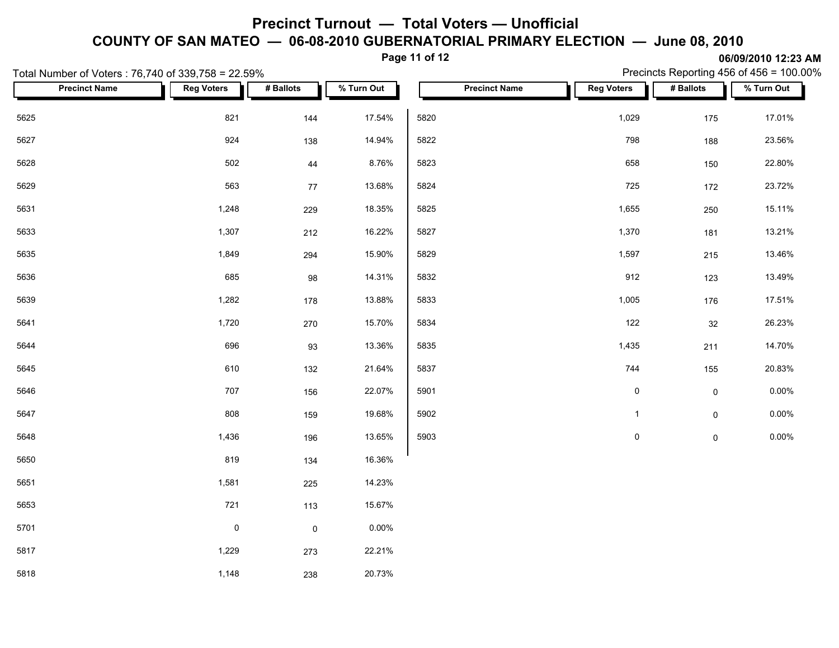**Page 11 of 12**

| Total Number of Voters: 76,740 of 339,758 = 22.59% |                     |              |            |      |                      |                     |                     | Precincts Reporting 456 of 456 = $100.00\%$ |
|----------------------------------------------------|---------------------|--------------|------------|------|----------------------|---------------------|---------------------|---------------------------------------------|
| <b>Precinct Name</b>                               | <b>Reg Voters</b>   | # Ballots    | % Turn Out |      | <b>Precinct Name</b> | <b>Reg Voters</b>   | # Ballots           | % Turn Out                                  |
| 5625                                               | 821                 | 144          | 17.54%     | 5820 |                      | 1,029               | 175                 | 17.01%                                      |
| 5627                                               | 924                 | 138          | 14.94%     | 5822 |                      | 798                 | 188                 | 23.56%                                      |
| 5628                                               | 502                 | 44           | 8.76%      | 5823 |                      | 658                 | 150                 | 22.80%                                      |
| 5629                                               | 563                 | 77           | 13.68%     | 5824 |                      | 725                 | 172                 | 23.72%                                      |
| 5631                                               | 1,248               | 229          | 18.35%     | 5825 |                      | 1,655               | 250                 | 15.11%                                      |
| 5633                                               | 1,307               | 212          | 16.22%     | 5827 |                      | 1,370               | 181                 | 13.21%                                      |
| 5635                                               | 1,849               | 294          | 15.90%     | 5829 |                      | 1,597               | 215                 | 13.46%                                      |
| 5636                                               | 685                 | 98           | 14.31%     | 5832 |                      | 912                 | 123                 | 13.49%                                      |
| 5639                                               | 1,282               | 178          | 13.88%     | 5833 |                      | 1,005               | 176                 | 17.51%                                      |
| 5641                                               | 1,720               | 270          | 15.70%     | 5834 |                      | 122                 | 32                  | 26.23%                                      |
| 5644                                               | 696                 | 93           | 13.36%     | 5835 |                      | 1,435               | 211                 | 14.70%                                      |
| 5645                                               | 610                 | 132          | 21.64%     | 5837 |                      | 744                 | 155                 | 20.83%                                      |
| 5646                                               | 707                 | 156          | 22.07%     | 5901 |                      | $\mathsf{O}\xspace$ | $\mathsf 0$         | $0.00\%$                                    |
| 5647                                               | 808                 | 159          | 19.68%     | 5902 |                      | $\mathbf{1}$        | $\mathsf{O}\xspace$ | $0.00\%$                                    |
| 5648                                               | 1,436               | 196          | 13.65%     | 5903 |                      | $\mathbf 0$         | $\mathsf 0$         | $0.00\%$                                    |
| 5650                                               | 819                 | 134          | 16.36%     |      |                      |                     |                     |                                             |
| 5651                                               | 1,581               | 225          | 14.23%     |      |                      |                     |                     |                                             |
| 5653                                               | 721                 | 113          | 15.67%     |      |                      |                     |                     |                                             |
| 5701                                               | $\mathsf{O}\xspace$ | $\mathsf{O}$ | $0.00\%$   |      |                      |                     |                     |                                             |
| 5817                                               | 1,229               | 273          | 22.21%     |      |                      |                     |                     |                                             |
| 5818                                               | 1,148               | 238          | 20.73%     |      |                      |                     |                     |                                             |